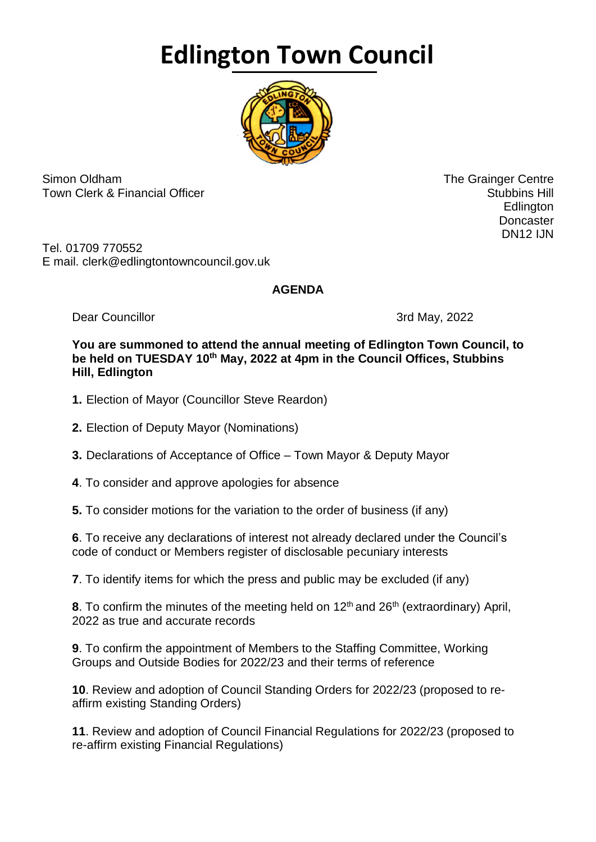## **Edlington Town Council**



Simon Oldham The Grainger Centre Town Clerk & Financial Officer Stubbins Hill and Stubbins Hill and Stubbins Hill and Stubbins Hill and Stubbins Hill

 Edlington **Doncaster** DN12 IJN

Tel. 01709 770552 E mail. clerk@edlingtontowncouncil.gov.uk

## **AGENDA**

Dear Councillor 3rd May, 2022

## **You are summoned to attend the annual meeting of Edlington Town Council, to be held on TUESDAY 10th May, 2022 at 4pm in the Council Offices, Stubbins Hill, Edlington**

- **1.** Election of Mayor (Councillor Steve Reardon)
- **2.** Election of Deputy Mayor (Nominations)
- **3.** Declarations of Acceptance of Office Town Mayor & Deputy Mayor
- **4**. To consider and approve apologies for absence

**5.** To consider motions for the variation to the order of business (if any)

**6**. To receive any declarations of interest not already declared under the Council's code of conduct or Members register of disclosable pecuniary interests

**7**. To identify items for which the press and public may be excluded (if any)

**8**. To confirm the minutes of the meeting held on 12<sup>th</sup> and 26<sup>th</sup> (extraordinary) April, 2022 as true and accurate records

**9**. To confirm the appointment of Members to the Staffing Committee, Working Groups and Outside Bodies for 2022/23 and their terms of reference

**10**. Review and adoption of Council Standing Orders for 2022/23 (proposed to reaffirm existing Standing Orders)

**11**. Review and adoption of Council Financial Regulations for 2022/23 (proposed to re-affirm existing Financial Regulations)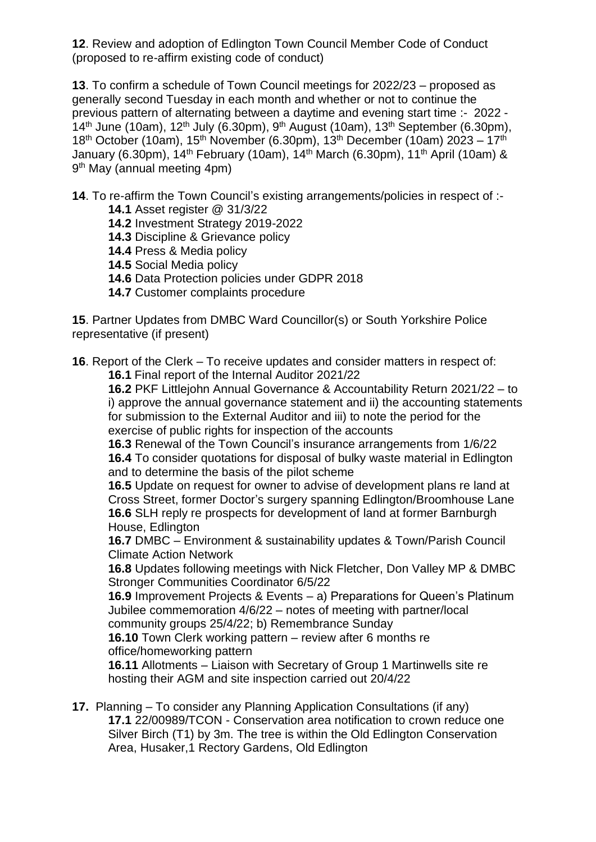**12**. Review and adoption of Edlington Town Council Member Code of Conduct (proposed to re-affirm existing code of conduct)

**13**. To confirm a schedule of Town Council meetings for 2022/23 – proposed as generally second Tuesday in each month and whether or not to continue the previous pattern of alternating between a daytime and evening start time :- 2022 - 14<sup>th</sup> June (10am), 12<sup>th</sup> July (6.30pm), 9<sup>th</sup> August (10am), 13<sup>th</sup> September (6.30pm), 18<sup>th</sup> October (10am), 15<sup>th</sup> November (6.30pm), 13<sup>th</sup> December (10am) 2023 – 17<sup>th</sup> January (6.30pm), 14<sup>th</sup> February (10am), 14<sup>th</sup> March (6.30pm), 11<sup>th</sup> April (10am) & 9<sup>th</sup> May (annual meeting 4pm)

**14**. To re-affirm the Town Council's existing arrangements/policies in respect of :- **14.1** Asset register @ 31/3/22

- **14.2** Investment Strategy 2019-2022
- **14.3** Discipline & Grievance policy
- **14.4** Press & Media policy
- **14.5** Social Media policy
- **14.6** Data Protection policies under GDPR 2018
- **14.7** Customer complaints procedure

**15**. Partner Updates from DMBC Ward Councillor(s) or South Yorkshire Police representative (if present)

**16**. Report of the Clerk – To receive updates and consider matters in respect of: **16.1** Final report of the Internal Auditor 2021/22

**16.2** PKF Littlejohn Annual Governance & Accountability Return 2021/22 – to i) approve the annual governance statement and ii) the accounting statements for submission to the External Auditor and iii) to note the period for the exercise of public rights for inspection of the accounts

**16.3** Renewal of the Town Council's insurance arrangements from 1/6/22 **16.4** To consider quotations for disposal of bulky waste material in Edlington and to determine the basis of the pilot scheme

**16.5** Update on request for owner to advise of development plans re land at Cross Street, former Doctor's surgery spanning Edlington/Broomhouse Lane **16.6** SLH reply re prospects for development of land at former Barnburgh House, Edlington

**16.7** DMBC – Environment & sustainability updates & Town/Parish Council Climate Action Network

**16.8** Updates following meetings with Nick Fletcher, Don Valley MP & DMBC Stronger Communities Coordinator 6/5/22

**16.9** Improvement Projects & Events – a) Preparations for Queen's Platinum Jubilee commemoration 4/6/22 – notes of meeting with partner/local community groups 25/4/22; b) Remembrance Sunday

**16.10** Town Clerk working pattern – review after 6 months re office/homeworking pattern

**16.11** Allotments – Liaison with Secretary of Group 1 Martinwells site re hosting their AGM and site inspection carried out 20/4/22

**17.** Planning – To consider any Planning Application Consultations (if any) **17.1** 22/00989/TCON - Conservation area notification to crown reduce one Silver Birch (T1) by 3m. The tree is within the Old Edlington Conservation Area, Husaker,1 Rectory Gardens, Old Edlington